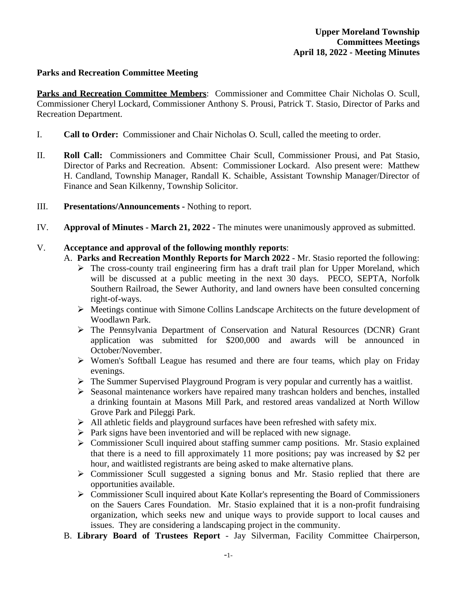## **Parks and Recreation Committee Meeting**

**Parks and Recreation Committee Members**: Commissioner and Committee Chair Nicholas O. Scull, Commissioner Cheryl Lockard, Commissioner Anthony S. Prousi, Patrick T. Stasio, Director of Parks and Recreation Department.

- I. **Call to Order:** Commissioner and Chair Nicholas O. Scull, called the meeting to order.
- II. **Roll Call:** Commissioners and Committee Chair Scull, Commissioner Prousi, and Pat Stasio, Director of Parks and Recreation. Absent: Commissioner Lockard. Also present were: Matthew H. Candland, Township Manager, Randall K. Schaible, Assistant Township Manager/Director of Finance and Sean Kilkenny, Township Solicitor.
- III. **Presentations/Announcements** Nothing to report.
- IV. **Approval of Minutes March 21, 2022** The minutes were unanimously approved as submitted.

# V. **Acceptance and approval of the following monthly reports**:

- A. **Parks and Recreation Monthly Reports for March 2022** Mr. Stasio reported the following:
	- $\triangleright$  The cross-county trail engineering firm has a draft trail plan for Upper Moreland, which will be discussed at a public meeting in the next 30 days. PECO, SEPTA, Norfolk Southern Railroad, the Sewer Authority, and land owners have been consulted concerning right-of-ways.
	- $\triangleright$  Meetings continue with Simone Collins Landscape Architects on the future development of Woodlawn Park.
	- The Pennsylvania Department of Conservation and Natural Resources (DCNR) Grant application was submitted for \$200,000 and awards will be announced in October/November.
	- Women's Softball League has resumed and there are four teams, which play on Friday evenings.
	- The Summer Supervised Playground Program is very popular and currently has a waitlist.
	- $\triangleright$  Seasonal maintenance workers have repaired many trashcan holders and benches, installed a drinking fountain at Masons Mill Park, and restored areas vandalized at North Willow Grove Park and Pileggi Park.
	- $\triangleright$  All athletic fields and playground surfaces have been refreshed with safety mix.
	- $\triangleright$  Park signs have been inventoried and will be replaced with new signage.
	- Commissioner Scull inquired about staffing summer camp positions. Mr. Stasio explained that there is a need to fill approximately 11 more positions; pay was increased by \$2 per hour, and waitlisted registrants are being asked to make alternative plans.
	- $\triangleright$  Commissioner Scull suggested a signing bonus and Mr. Stasio replied that there are opportunities available.
	- Commissioner Scull inquired about Kate Kollar's representing the Board of Commissioners on the Sauers Cares Foundation. Mr. Stasio explained that it is a non-profit fundraising organization, which seeks new and unique ways to provide support to local causes and issues. They are considering a landscaping project in the community.
- B. **Library Board of Trustees Report** Jay Silverman, Facility Committee Chairperson,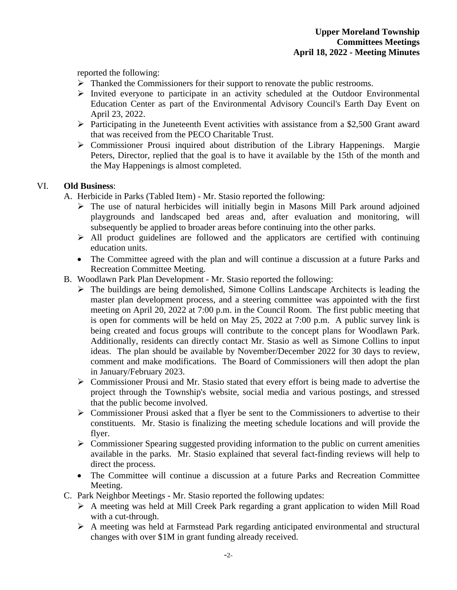reported the following:

- $\triangleright$  Thanked the Commissioners for their support to renovate the public restrooms.
- $\triangleright$  Invited everyone to participate in an activity scheduled at the Outdoor Environmental Education Center as part of the Environmental Advisory Council's Earth Day Event on April 23, 2022.
- $\triangleright$  Participating in the Juneteenth Event activities with assistance from a \$2,500 Grant award that was received from the PECO Charitable Trust.
- $\triangleright$  Commissioner Prousi inquired about distribution of the Library Happenings. Margie Peters, Director, replied that the goal is to have it available by the 15th of the month and the May Happenings is almost completed.

## VI. **Old Business**:

A. Herbicide in Parks (Tabled Item) - Mr. Stasio reported the following:

- $\triangleright$  The use of natural herbicides will initially begin in Masons Mill Park around adjoined playgrounds and landscaped bed areas and, after evaluation and monitoring, will subsequently be applied to broader areas before continuing into the other parks.
- $\triangleright$  All product guidelines are followed and the applicators are certified with continuing education units.
- The Committee agreed with the plan and will continue a discussion at a future Parks and Recreation Committee Meeting.
- B. Woodlawn Park Plan Development Mr. Stasio reported the following:
	- $\triangleright$  The buildings are being demolished, Simone Collins Landscape Architects is leading the master plan development process, and a steering committee was appointed with the first meeting on April 20, 2022 at 7:00 p.m. in the Council Room. The first public meeting that is open for comments will be held on May 25, 2022 at 7:00 p.m. A public survey link is being created and focus groups will contribute to the concept plans for Woodlawn Park. Additionally, residents can directly contact Mr. Stasio as well as Simone Collins to input ideas. The plan should be available by November/December 2022 for 30 days to review, comment and make modifications. The Board of Commissioners will then adopt the plan in January/February 2023.
	- Commissioner Prousi and Mr. Stasio stated that every effort is being made to advertise the project through the Township's website, social media and various postings, and stressed that the public become involved.
	- $\triangleright$  Commissioner Prousi asked that a flyer be sent to the Commissioners to advertise to their constituents. Mr. Stasio is finalizing the meeting schedule locations and will provide the flyer.
	- $\triangleright$  Commissioner Spearing suggested providing information to the public on current amenities available in the parks. Mr. Stasio explained that several fact-finding reviews will help to direct the process.
	- The Committee will continue a discussion at a future Parks and Recreation Committee Meeting.
- C. Park Neighbor Meetings Mr. Stasio reported the following updates:
	- A meeting was held at Mill Creek Park regarding a grant application to widen Mill Road with a cut-through.
	- A meeting was held at Farmstead Park regarding anticipated environmental and structural changes with over \$1M in grant funding already received.